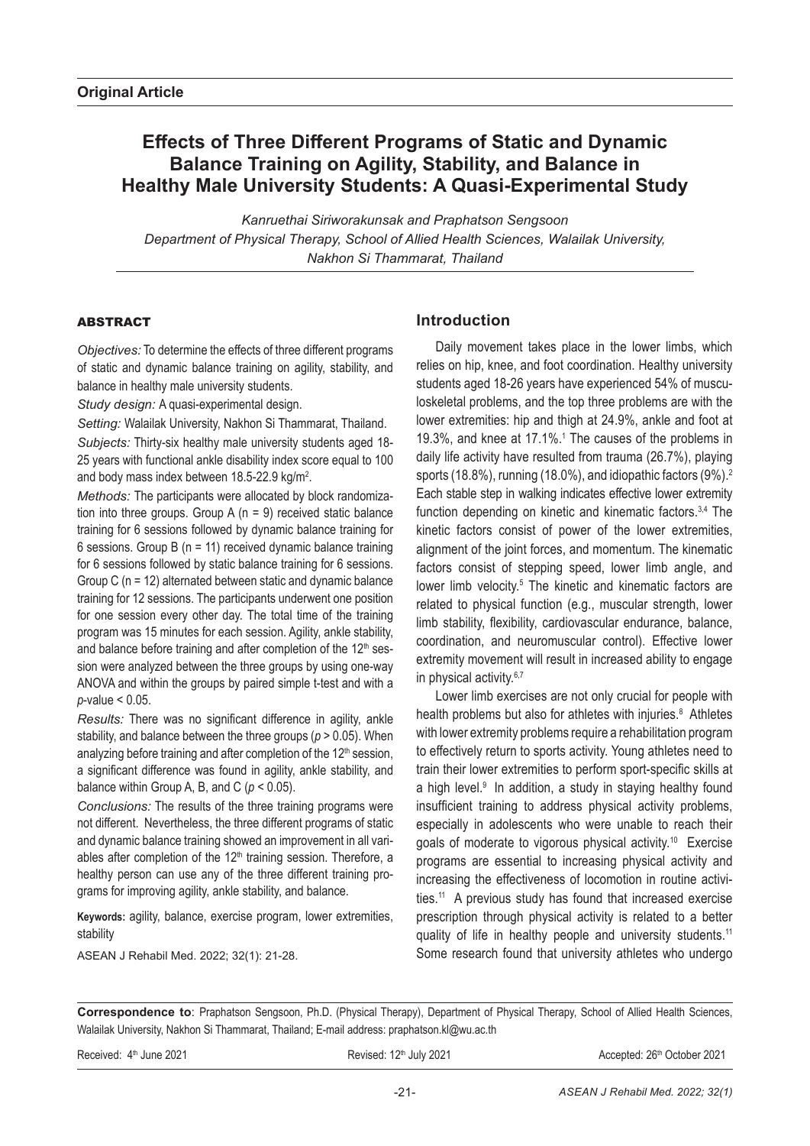# **Effects of Three Different Programs of Static and Dynamic Balance Training on Agility, Stability, and Balance in Healthy Male University Students: A Quasi-Experimental Study**

*Kanruethai Siriworakunsak and Praphatson Sengsoon Department of Physical Therapy, School of Allied Health Sciences, Walailak University, Nakhon Si Thammarat, Thailand* 

# ABSTRACT

*Objectives:* To determine the effects of three different programs of static and dynamic balance training on agility, stability, and balance in healthy male university students.

*Study design:* A quasi-experimental design.

*Setting:* Walailak University, Nakhon Si Thammarat, Thailand. *Subjects:* Thirty-six healthy male university students aged 18- 25 years with functional ankle disability index score equal to 100 and body mass index between 18.5-22.9 kg/m<sup>2</sup>.

*Methods:* The participants were allocated by block randomization into three groups. Group  $A(n = 9)$  received static balance training for 6 sessions followed by dynamic balance training for 6 sessions. Group B ( $n = 11$ ) received dynamic balance training for 6 sessions followed by static balance training for 6 sessions. Group C (n = 12) alternated between static and dynamic balance training for 12 sessions. The participants underwent one position for one session every other day. The total time of the training program was 15 minutes for each session. Agility, ankle stability, and balance before training and after completion of the 12<sup>th</sup> session were analyzed between the three groups by using one-way ANOVA and within the groups by paired simple t-test and with a *p*-value < 0.05.

*Results:* There was no significant difference in agility, ankle stability, and balance between the three groups (*p* > 0.05). When analyzing before training and after completion of the 12<sup>th</sup> session, a significant difference was found in agility, ankle stability, and balance within Group A, B, and C (*p* < 0.05).

*Conclusions:* The results of the three training programs were not different. Nevertheless, the three different programs of static and dynamic balance training showed an improvement in all variables after completion of the  $12<sup>th</sup>$  training session. Therefore, a healthy person can use any of the three different training programs for improving agility, ankle stability, and balance.

**Keywords:** agility, balance, exercise program, lower extremities, stability

ASEAN J Rehabil Med. 2022; 32(1): 21-28.

# **Introduction**

Daily movement takes place in the lower limbs, which relies on hip, knee, and foot coordination. Healthy university students aged 18-26 years have experienced 54% of musculoskeletal problems, and the top three problems are with the lower extremities: hip and thigh at 24.9%, ankle and foot at 19.3%, and knee at 17.1%.<sup>1</sup> The causes of the problems in daily life activity have resulted from trauma (26.7%), playing sports (18.8%), running (18.0%), and idiopathic factors (9%).<sup>2</sup> Each stable step in walking indicates effective lower extremity function depending on kinetic and kinematic factors.<sup>3,4</sup> The kinetic factors consist of power of the lower extremities, alignment of the joint forces, and momentum. The kinematic factors consist of stepping speed, lower limb angle, and lower limb velocity.<sup>5</sup> The kinetic and kinematic factors are related to physical function (e.g., muscular strength, lower limb stability, flexibility, cardiovascular endurance, balance, coordination, and neuromuscular control). Effective lower extremity movement will result in increased ability to engage in physical activity.<sup>6,7</sup>

Lower limb exercises are not only crucial for people with health problems but also for athletes with injuries.<sup>8</sup> Athletes with lower extremity problems require a rehabilitation program to effectively return to sports activity. Young athletes need to train their lower extremities to perform sport-specific skills at a high level. $9$  In addition, a study in staying healthy found insufficient training to address physical activity problems, especially in adolescents who were unable to reach their goals of moderate to vigorous physical activity.10 Exercise programs are essential to increasing physical activity and increasing the effectiveness of locomotion in routine activities.11 A previous study has found that increased exercise prescription through physical activity is related to a better quality of life in healthy people and university students.<sup>11</sup> Some research found that university athletes who undergo

**Correspondence to**: Praphatson Sengsoon, Ph.D. (Physical Therapy), Department of Physical Therapy, School of Allied Health Sciences, Walailak University, Nakhon Si Thammarat, Thailand; E-mail address: praphatson.kl@wu.ac.th

Received:  $4<sup>th</sup>$  June 2021 **Revised: 12<sup>th</sup> July 2021** Accepted: 26<sup>th</sup> October 2021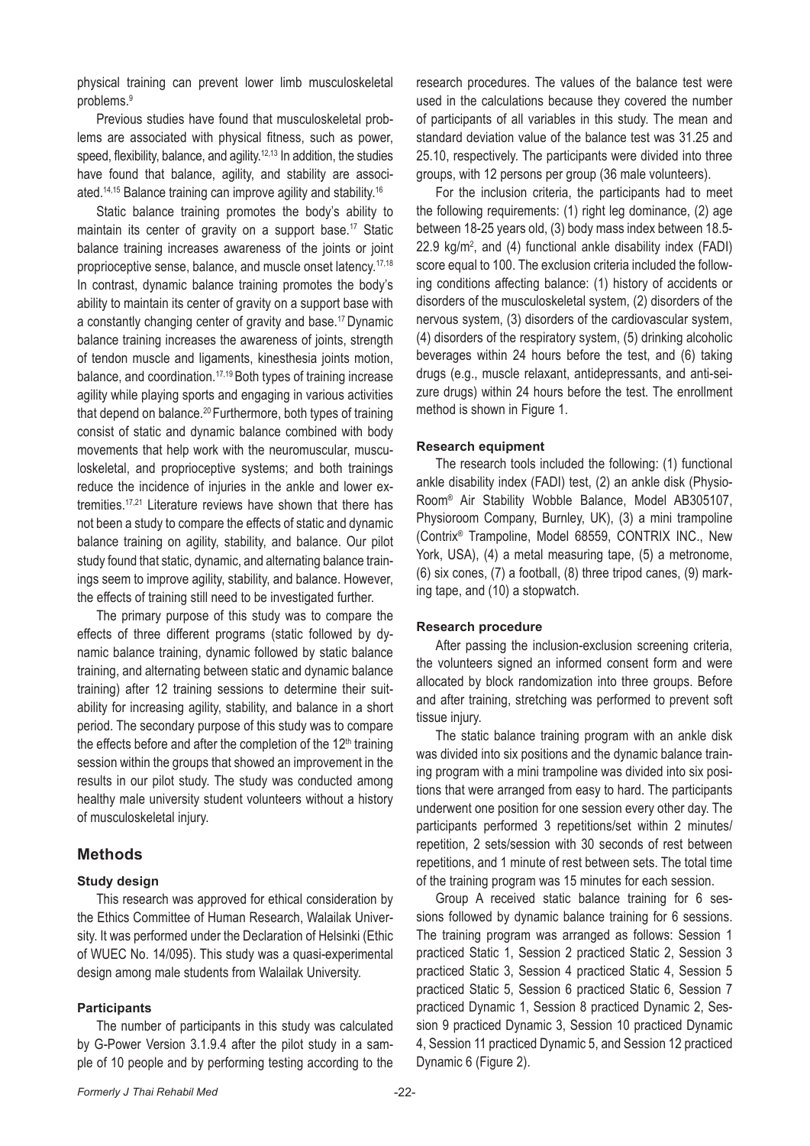physical training can prevent lower limb musculoskeletal problems.9

Previous studies have found that musculoskeletal problems are associated with physical fitness, such as power, speed, flexibility, balance, and agility.<sup>12,13</sup> In addition, the studies have found that balance, agility, and stability are associated.14,15 Balance training can improve agility and stability.16

Static balance training promotes the body's ability to maintain its center of gravity on a support base.<sup>17</sup> Static balance training increases awareness of the joints or joint proprioceptive sense, balance, and muscle onset latency.17,18 In contrast, dynamic balance training promotes the body's ability to maintain its center of gravity on a support base with a constantly changing center of gravity and base.17 Dynamic balance training increases the awareness of joints, strength of tendon muscle and ligaments, kinesthesia joints motion, balance, and coordination.17,19 Both types of training increase agility while playing sports and engaging in various activities that depend on balance.<sup>20</sup> Furthermore, both types of training consist of static and dynamic balance combined with body movements that help work with the neuromuscular, musculoskeletal, and proprioceptive systems; and both trainings reduce the incidence of injuries in the ankle and lower extremities.17,21 Literature reviews have shown that there has not been a study to compare the effects of static and dynamic balance training on agility, stability, and balance. Our pilot study found that static, dynamic, and alternating balance trainings seem to improve agility, stability, and balance. However, the effects of training still need to be investigated further.

The primary purpose of this study was to compare the effects of three different programs (static followed by dynamic balance training, dynamic followed by static balance training, and alternating between static and dynamic balance training) after 12 training sessions to determine their suitability for increasing agility, stability, and balance in a short period. The secondary purpose of this study was to compare the effects before and after the completion of the  $12<sup>th</sup>$  training session within the groups that showed an improvement in the results in our pilot study. The study was conducted among healthy male university student volunteers without a history of musculoskeletal injury.

## **Methods**

### **Study design**

This research was approved for ethical consideration by the Ethics Committee of Human Research, Walailak University. It was performed under the Declaration of Helsinki (Ethic of WUEC No. 14/095). This study was a quasi-experimental design among male students from Walailak University.

### **Participants**

The number of participants in this study was calculated by G-Power Version 3.1.9.4 after the pilot study in a sample of 10 people and by performing testing according to the research procedures. The values of the balance test were used in the calculations because they covered the number of participants of all variables in this study. The mean and standard deviation value of the balance test was 31.25 and 25.10, respectively. The participants were divided into three groups, with 12 persons per group (36 male volunteers).

For the inclusion criteria, the participants had to meet the following requirements: (1) right leg dominance, (2) age between 18-25 years old, (3) body mass index between 18.5-  $22.9 \text{ kg/m}^2$ , and (4) functional ankle disability index (FADI) score equal to 100. The exclusion criteria included the following conditions affecting balance: (1) history of accidents or disorders of the musculoskeletal system, (2) disorders of the nervous system, (3) disorders of the cardiovascular system, (4) disorders of the respiratory system, (5) drinking alcoholic beverages within 24 hours before the test, and (6) taking drugs (e.g., muscle relaxant, antidepressants, and anti-seizure drugs) within 24 hours before the test. The enrollment method is shown in Figure 1.

### **Research equipment**

The research tools included the following: (1) functional ankle disability index (FADI) test, (2) an ankle disk (Physio-Room® Air Stability Wobble Balance, Model AB305107, Physioroom Company, Burnley, UK), (3) a mini trampoline (Contrix® Trampoline, Model 68559, CONTRIX INC., New York, USA), (4) a metal measuring tape, (5) a metronome, (6) six cones, (7) a football, (8) three tripod canes, (9) marking tape, and (10) a stopwatch.

### **Research procedure**

After passing the inclusion-exclusion screening criteria, the volunteers signed an informed consent form and were allocated by block randomization into three groups. Before and after training, stretching was performed to prevent soft tissue injury.

The static balance training program with an ankle disk was divided into six positions and the dynamic balance training program with a mini trampoline was divided into six positions that were arranged from easy to hard. The participants underwent one position for one session every other day. The participants performed 3 repetitions/set within 2 minutes/ repetition, 2 sets/session with 30 seconds of rest between repetitions, and 1 minute of rest between sets. The total time of the training program was 15 minutes for each session.

Group A received static balance training for 6 sessions followed by dynamic balance training for 6 sessions. The training program was arranged as follows: Session 1 practiced Static 1, Session 2 practiced Static 2, Session 3 practiced Static 3, Session 4 practiced Static 4, Session 5 practiced Static 5, Session 6 practiced Static 6, Session 7 practiced Dynamic 1, Session 8 practiced Dynamic 2, Session 9 practiced Dynamic 3, Session 10 practiced Dynamic 4, Session 11 practiced Dynamic 5, and Session 12 practiced Dynamic 6 (Figure 2).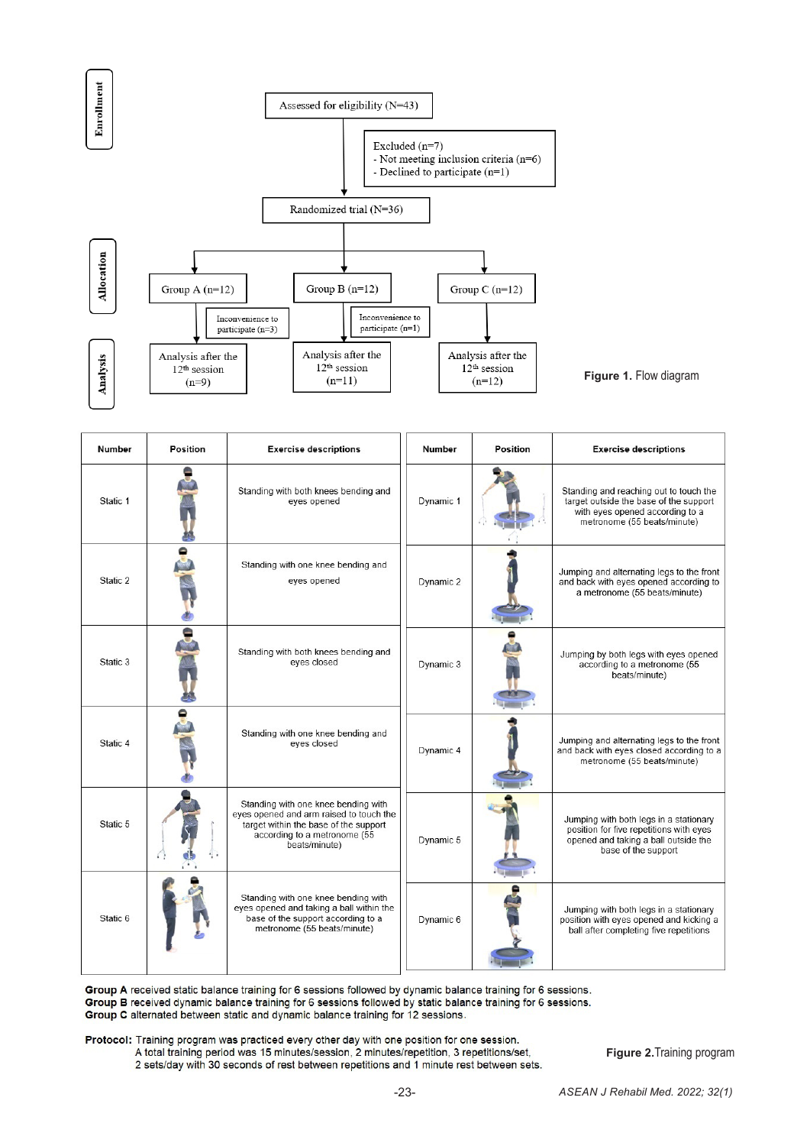

| Number   | Position | <b>Exercise descriptions</b>                                                                                                                                             | Number    | Position | <b>Exercise descriptions</b>                                                                                                                       |
|----------|----------|--------------------------------------------------------------------------------------------------------------------------------------------------------------------------|-----------|----------|----------------------------------------------------------------------------------------------------------------------------------------------------|
| Static 1 |          | Standing with both knees bending and<br>eyes opened                                                                                                                      | Dynamic 1 |          | Standing and reaching out to touch the<br>target outside the base of the support<br>with eyes opened according to a<br>metronome (55 beats/minute) |
| Static 2 |          | Standing with one knee bending and<br>eyes opened                                                                                                                        | Dynamic 2 |          | Jumping and alternating legs to the front<br>and back with eyes opened according to<br>a metronome (55 beats/minute)                               |
| Static 3 |          | Standing with both knees bending and<br>eyes closed                                                                                                                      | Dynamic 3 |          | Jumping by both legs with eyes opened<br>according to a metronome (55<br>beats/minute)                                                             |
| Static 4 |          | Standing with one knee bending and<br>eyes closed                                                                                                                        | Dynamic 4 |          | Jumping and alternating legs to the front<br>and back with eyes closed according to a<br>metronome (55 beats/minute)                               |
| Static 5 |          | Standing with one knee bending with<br>eyes opened and arm raised to touch the<br>target within the base of the support<br>according to a metronome (55<br>beats/minute) | Dynamic 5 |          | Jumping with both legs in a stationary<br>position for five repetitions with eyes<br>opened and taking a ball outside the<br>base of the support   |
| Static 6 |          | Standing with one knee bending with<br>eyes opened and taking a ball within the<br>base of the support according to a<br>metronome (55 beats/minute)                     | Dynamic 6 |          | Jumping with both legs in a stationary<br>position with eyes opened and kicking a<br>ball after completing five repetitions                        |

Group A received static balance training for 6 sessions followed by dynamic balance training for 6 sessions. Group B received dynamic balance training for 6 sessions followed by static balance training for 6 sessions. Group C alternated between static and dynamic balance training for 12 sessions.

Protocol: Training program was practiced every other day with one position for one session. A total training period was 15 minutes/session, 2 minutes/repetition, 3 repetitions/set, 2 sets/day with 30 seconds of rest between repetitions and 1 minute rest between sets.

**Figure 2.**Training program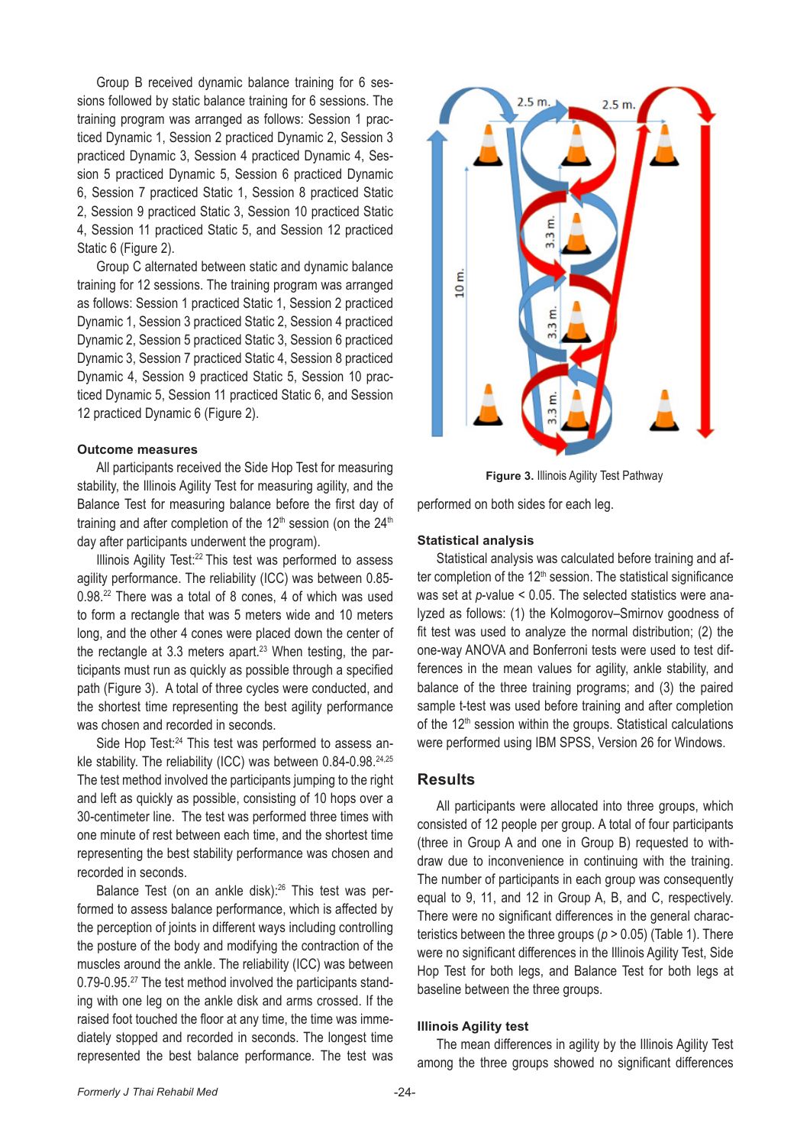Group B received dynamic balance training for 6 sessions followed by static balance training for 6 sessions. The training program was arranged as follows: Session 1 practiced Dynamic 1, Session 2 practiced Dynamic 2, Session 3 practiced Dynamic 3, Session 4 practiced Dynamic 4, Session 5 practiced Dynamic 5, Session 6 practiced Dynamic 6, Session 7 practiced Static 1, Session 8 practiced Static 2, Session 9 practiced Static 3, Session 10 practiced Static 4, Session 11 practiced Static 5, and Session 12 practiced Static 6 (Figure 2).

Group C alternated between static and dynamic balance training for 12 sessions. The training program was arranged as follows: Session 1 practiced Static 1, Session 2 practiced Dynamic 1, Session 3 practiced Static 2, Session 4 practiced Dynamic 2, Session 5 practiced Static 3, Session 6 practiced Dynamic 3, Session 7 practiced Static 4, Session 8 practiced Dynamic 4, Session 9 practiced Static 5, Session 10 practiced Dynamic 5, Session 11 practiced Static 6, and Session 12 practiced Dynamic 6 (Figure 2).

#### **Outcome measures**

All participants received the Side Hop Test for measuring stability, the Illinois Agility Test for measuring agility, and the Balance Test for measuring balance before the first day of training and after completion of the  $12<sup>th</sup>$  session (on the  $24<sup>th</sup>$ day after participants underwent the program).

Illinois Agility Test:22 This test was performed to assess agility performance. The reliability (ICC) was between 0.85- 0.98.22 There was a total of 8 cones, 4 of which was used to form a rectangle that was 5 meters wide and 10 meters long, and the other 4 cones were placed down the center of the rectangle at 3.3 meters apart.<sup>23</sup> When testing, the participants must run as quickly as possible through a specified path (Figure 3). A total of three cycles were conducted, and the shortest time representing the best agility performance was chosen and recorded in seconds.

Side Hop Test:<sup>24</sup> This test was performed to assess ankle stability. The reliability (ICC) was between 0.84-0.98.<sup>24,25</sup> The test method involved the participants jumping to the right and left as quickly as possible, consisting of 10 hops over a 30-centimeter line. The test was performed three times with one minute of rest between each time, and the shortest time representing the best stability performance was chosen and recorded in seconds.

Balance Test (on an ankle disk):26 This test was performed to assess balance performance, which is affected by the perception of joints in different ways including controlling the posture of the body and modifying the contraction of the muscles around the ankle. The reliability (ICC) was between 0.79-0.95.<sup>27</sup> The test method involved the participants standing with one leg on the ankle disk and arms crossed. If the raised foot touched the floor at any time, the time was immediately stopped and recorded in seconds. The longest time represented the best balance performance. The test was



**Figure 3.** Illinois Agility Test Pathway

performed on both sides for each leg.

#### **Statistical analysis**

Statistical analysis was calculated before training and after completion of the  $12<sup>th</sup>$  session. The statistical significance was set at *p*-value < 0.05. The selected statistics were analyzed as follows: (1) the Kolmogorov–Smirnov goodness of fit test was used to analyze the normal distribution; (2) the one-way ANOVA and Bonferroni tests were used to test differences in the mean values for agility, ankle stability, and balance of the three training programs; and (3) the paired sample t-test was used before training and after completion of the 12<sup>th</sup> session within the groups. Statistical calculations were performed using IBM SPSS, Version 26 for Windows.

### **Results**

All participants were allocated into three groups, which consisted of 12 people per group. A total of four participants (three in Group A and one in Group B) requested to withdraw due to inconvenience in continuing with the training. The number of participants in each group was consequently equal to 9, 11, and 12 in Group A, B, and C, respectively. There were no significant differences in the general characteristics between the three groups (*p* > 0.05) (Table 1). There were no significant differences in the Illinois Agility Test, Side Hop Test for both legs, and Balance Test for both legs at baseline between the three groups.

### **Illinois Agility test**

The mean differences in agility by the Illinois Agility Test among the three groups showed no significant differences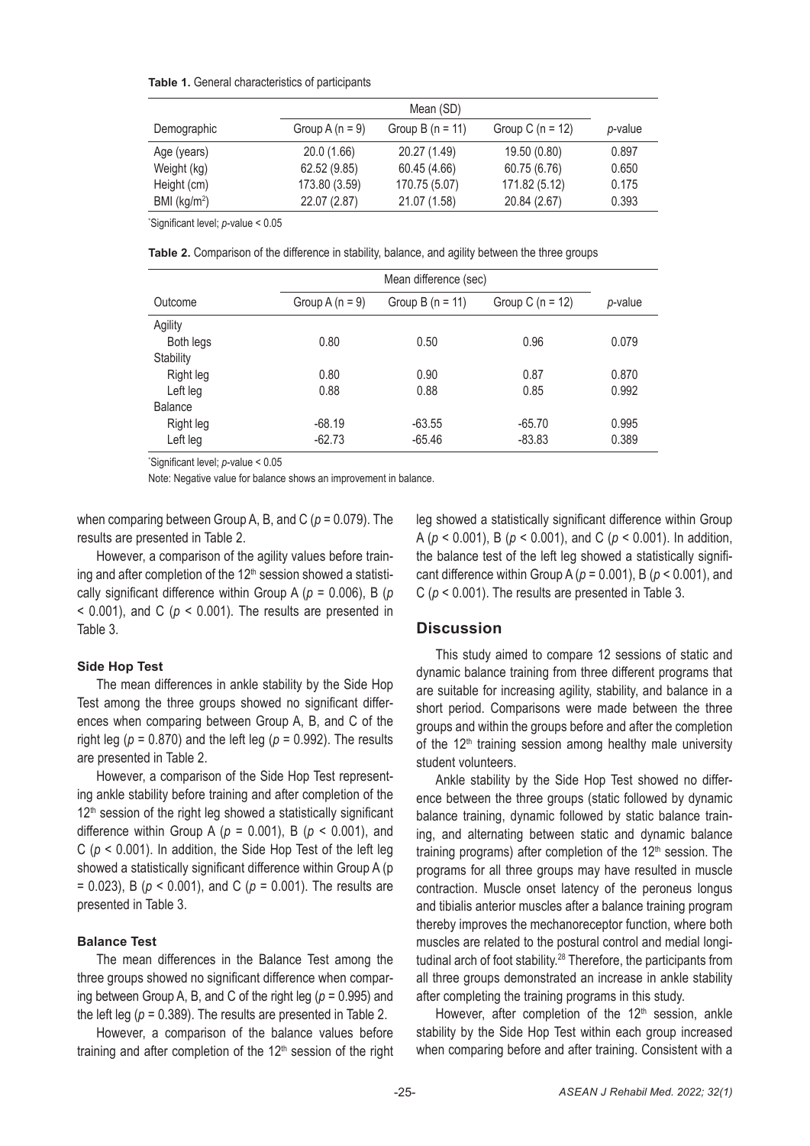#### **Table 1.** General characteristics of participants

|                 | Mean (SD)         |                    |                      |         |  |
|-----------------|-------------------|--------------------|----------------------|---------|--|
| Demographic     | Group A $(n = 9)$ | Group B $(n = 11)$ | Group C ( $n = 12$ ) | p-value |  |
| Age (years)     | 20.0 (1.66)       | 20.27 (1.49)       | 19.50 (0.80)         | 0.897   |  |
| Weight (kg)     | 62.52 (9.85)      | 60.45 (4.66)       | 60.75 (6.76)         | 0.650   |  |
| Height (cm)     | 173.80 (3.59)     | 170.75 (5.07)      | 171.82 (5.12)        | 0.175   |  |
| BMI ( $kg/m2$ ) | 22.07 (2.87)      | 21.07 (1.58)       | 20.84 (2.67)         | 0.393   |  |

\* Significant level; *p*-value < 0.05

**Table 2.** Comparison of the difference in stability, balance, and agility between the three groups

|           | Mean difference (sec) |                    |                    |         |  |  |
|-----------|-----------------------|--------------------|--------------------|---------|--|--|
| Outcome   | Group A $(n = 9)$     | Group B $(n = 11)$ | Group C $(n = 12)$ | p-value |  |  |
| Agility   |                       |                    |                    |         |  |  |
| Both legs | 0.80                  | 0.50               | 0.96               | 0.079   |  |  |
| Stability |                       |                    |                    |         |  |  |
| Right leg | 0.80                  | 0.90               | 0.87               | 0.870   |  |  |
| Left leg  | 0.88                  | 0.88               | 0.85               | 0.992   |  |  |
| Balance   |                       |                    |                    |         |  |  |
| Right leg | $-68.19$              | $-63.55$           | $-65.70$           | 0.995   |  |  |
| Left leg  | $-62.73$              | $-65.46$           | $-83.83$           | 0.389   |  |  |

\* Significant level; *p*-value < 0.05

Note: Negative value for balance shows an improvement in balance.

when comparing between Group A, B, and C (*p* = 0.079). The results are presented in Table 2.

However, a comparison of the agility values before training and after completion of the 12<sup>th</sup> session showed a statistically significant difference within Group A (*p* = 0.006), B (*p*  $<$  0.001), and C ( $p <$  0.001). The results are presented in Table 3.

### **Side Hop Test**

The mean differences in ankle stability by the Side Hop Test among the three groups showed no significant differences when comparing between Group A, B, and C of the right leg ( $p = 0.870$ ) and the left leg ( $p = 0.992$ ). The results are presented in Table 2.

However, a comparison of the Side Hop Test representing ankle stability before training and after completion of the  $12<sup>th</sup>$  session of the right leg showed a statistically significant difference within Group A (*p* = 0.001), B (*p* < 0.001), and C (*p* < 0.001). In addition, the Side Hop Test of the left leg showed a statistically significant difference within Group A (p = 0.023), B (*p* < 0.001), and C (*p* = 0.001). The results are presented in Table 3.

# **Balance Test**

The mean differences in the Balance Test among the three groups showed no significant difference when comparing between Group A, B, and C of the right leg (*p* = 0.995) and the left leg  $(p = 0.389)$ . The results are presented in Table 2.

However, a comparison of the balance values before training and after completion of the  $12<sup>th</sup>$  session of the right leg showed a statistically significant difference within Group A (*p* < 0.001), B (*p* < 0.001), and C (*p* < 0.001). In addition, the balance test of the left leg showed a statistically significant difference within Group A (*p* = 0.001), B (*p* < 0.001), and C ( $p < 0.001$ ). The results are presented in Table 3.

### **Discussion**

This study aimed to compare 12 sessions of static and dynamic balance training from three different programs that are suitable for increasing agility, stability, and balance in a short period. Comparisons were made between the three groups and within the groups before and after the completion of the  $12<sup>th</sup>$  training session among healthy male university student volunteers.

Ankle stability by the Side Hop Test showed no difference between the three groups (static followed by dynamic balance training, dynamic followed by static balance training, and alternating between static and dynamic balance training programs) after completion of the  $12<sup>th</sup>$  session. The programs for all three groups may have resulted in muscle contraction. Muscle onset latency of the peroneus longus and tibialis anterior muscles after a balance training program thereby improves the mechanoreceptor function, where both muscles are related to the postural control and medial longitudinal arch of foot stability.28 Therefore, the participants from all three groups demonstrated an increase in ankle stability after completing the training programs in this study.

However, after completion of the  $12<sup>th</sup>$  session, ankle stability by the Side Hop Test within each group increased when comparing before and after training. Consistent with a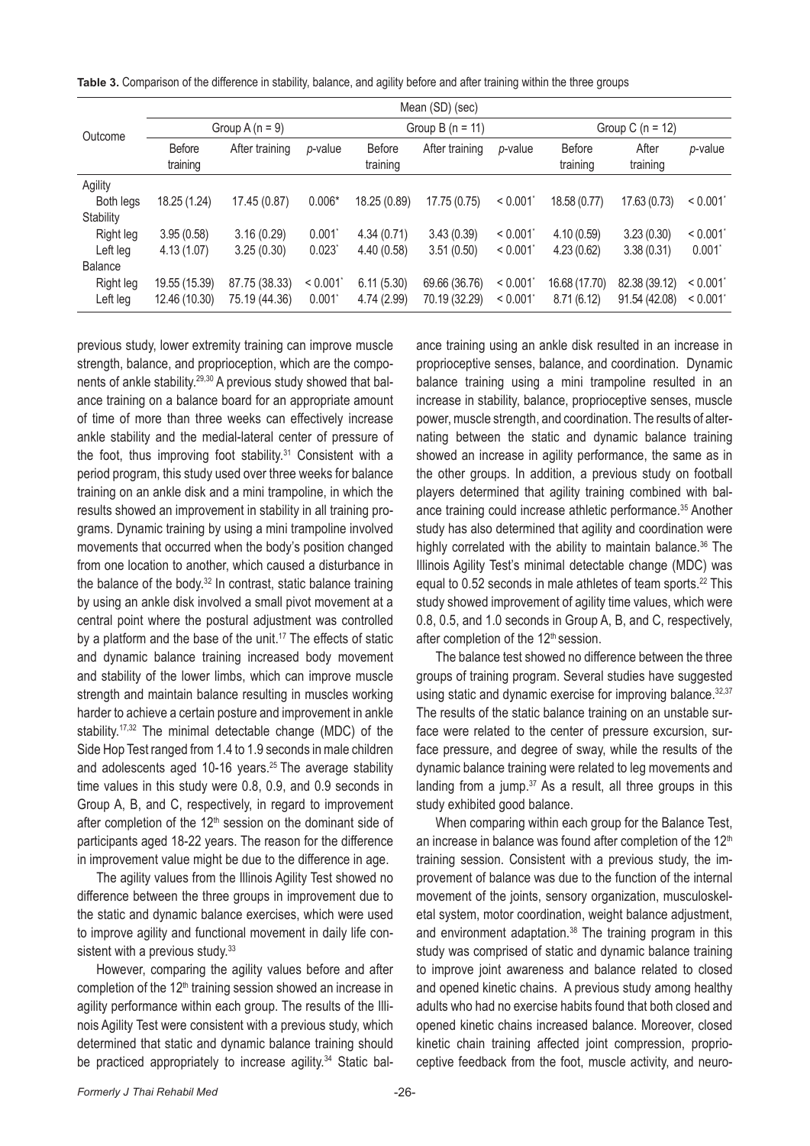|  | Table 3. Comparison of the difference in stability, balance, and agility before and after training within the three groups |  |  |  |
|--|----------------------------------------------------------------------------------------------------------------------------|--|--|--|
|  |                                                                                                                            |  |  |  |

|                | Mean (SD) (sec)           |                |                      |                           |                |         |                           |                   |                      |
|----------------|---------------------------|----------------|----------------------|---------------------------|----------------|---------|---------------------------|-------------------|----------------------|
| Outcome        | Group A $(n = 9)$         |                |                      | Group B $(n = 11)$        |                |         | Group C ( $n = 12$ )      |                   |                      |
|                | <b>Before</b><br>training | After training | p-value              | <b>Before</b><br>training | After training | p-value | <b>Before</b><br>training | After<br>training | p-value              |
| Agility        |                           |                |                      |                           |                |         |                           |                   |                      |
| Both legs      | 18.25 (1.24)              | 17.45 (0.87)   | $0.006*$             | 18.25 (0.89)              | 17.75 (0.75)   | < 0.001 | 18.58 (0.77)              | 17.63 (0.73)      | < 0.001              |
| Stability      |                           |                |                      |                           |                |         |                           |                   |                      |
| Right leg      | 3.95(0.58)                | 3.16(0.29)     | $0.001$ <sup>*</sup> | 4.34(0.71)                | 3.43(0.39)     | < 0.001 | 4.10(0.59)                | 3.23(0.30)        | < 0.001              |
| Left leg       | 4.13(1.07)                | 3.25(0.30)     | $0.023$ <sup>*</sup> | 4.40(0.58)                | 3.51(0.50)     | < 0.001 | 4.23(0.62)                | 3.38(0.31)        | $0.001$ <sup>*</sup> |
| <b>Balance</b> |                           |                |                      |                           |                |         |                           |                   |                      |
| Right leg      | 19.55 (15.39)             | 87.75 (38.33)  | < 0.001              | 6.11(5.30)                | 69.66 (36.76)  | < 0.001 | 16.68 (17.70)             | 82.38 (39.12)     | < 0.001              |
| Left leg       | 12.46 (10.30)             | 75.19 (44.36)  | $0.001^*$            | 4.74 (2.99)               | 70.19 (32.29)  | < 0.001 | 8.71(6.12)                | 91.54 (42.08)     | < 0.001              |

previous study, lower extremity training can improve muscle strength, balance, and proprioception, which are the components of ankle stability.29,30 A previous study showed that balance training on a balance board for an appropriate amount of time of more than three weeks can effectively increase ankle stability and the medial-lateral center of pressure of the foot, thus improving foot stability.<sup>31</sup> Consistent with a period program, this study used over three weeks for balance training on an ankle disk and a mini trampoline, in which the results showed an improvement in stability in all training programs. Dynamic training by using a mini trampoline involved movements that occurred when the body's position changed from one location to another, which caused a disturbance in the balance of the body.32 In contrast, static balance training by using an ankle disk involved a small pivot movement at a central point where the postural adjustment was controlled by a platform and the base of the unit.<sup>17</sup> The effects of static and dynamic balance training increased body movement and stability of the lower limbs, which can improve muscle strength and maintain balance resulting in muscles working harder to achieve a certain posture and improvement in ankle stability.<sup>17,32</sup> The minimal detectable change (MDC) of the Side Hop Test ranged from 1.4 to 1.9 seconds in male children and adolescents aged 10-16 years.<sup>25</sup> The average stability time values in this study were 0.8, 0.9, and 0.9 seconds in Group A, B, and C, respectively, in regard to improvement after completion of the 12<sup>th</sup> session on the dominant side of participants aged 18-22 years. The reason for the difference in improvement value might be due to the difference in age.

The agility values from the Illinois Agility Test showed no difference between the three groups in improvement due to the static and dynamic balance exercises, which were used to improve agility and functional movement in daily life consistent with a previous study.<sup>33</sup>

However, comparing the agility values before and after completion of the 12<sup>th</sup> training session showed an increase in agility performance within each group. The results of the Illinois Agility Test were consistent with a previous study, which determined that static and dynamic balance training should be practiced appropriately to increase agility.<sup>34</sup> Static balance training using an ankle disk resulted in an increase in proprioceptive senses, balance, and coordination. Dynamic balance training using a mini trampoline resulted in an increase in stability, balance, proprioceptive senses, muscle power, muscle strength, and coordination. The results of alternating between the static and dynamic balance training showed an increase in agility performance, the same as in the other groups. In addition, a previous study on football players determined that agility training combined with balance training could increase athletic performance.<sup>35</sup> Another study has also determined that agility and coordination were highly correlated with the ability to maintain balance.<sup>36</sup> The Illinois Agility Test's minimal detectable change (MDC) was equal to 0.52 seconds in male athletes of team sports.<sup>22</sup> This study showed improvement of agility time values, which were 0.8, 0.5, and 1.0 seconds in Group A, B, and C, respectively, after completion of the 12<sup>th</sup> session.

The balance test showed no difference between the three groups of training program. Several studies have suggested using static and dynamic exercise for improving balance.<sup>32,37</sup> The results of the static balance training on an unstable surface were related to the center of pressure excursion, surface pressure, and degree of sway, while the results of the dynamic balance training were related to leg movements and landing from a jump. $37$  As a result, all three groups in this study exhibited good balance.

When comparing within each group for the Balance Test, an increase in balance was found after completion of the 12<sup>th</sup> training session. Consistent with a previous study, the improvement of balance was due to the function of the internal movement of the joints, sensory organization, musculoskeletal system, motor coordination, weight balance adjustment, and environment adaptation.<sup>38</sup> The training program in this study was comprised of static and dynamic balance training to improve joint awareness and balance related to closed and opened kinetic chains. A previous study among healthy adults who had no exercise habits found that both closed and opened kinetic chains increased balance. Moreover, closed kinetic chain training affected joint compression, proprioceptive feedback from the foot, muscle activity, and neuro-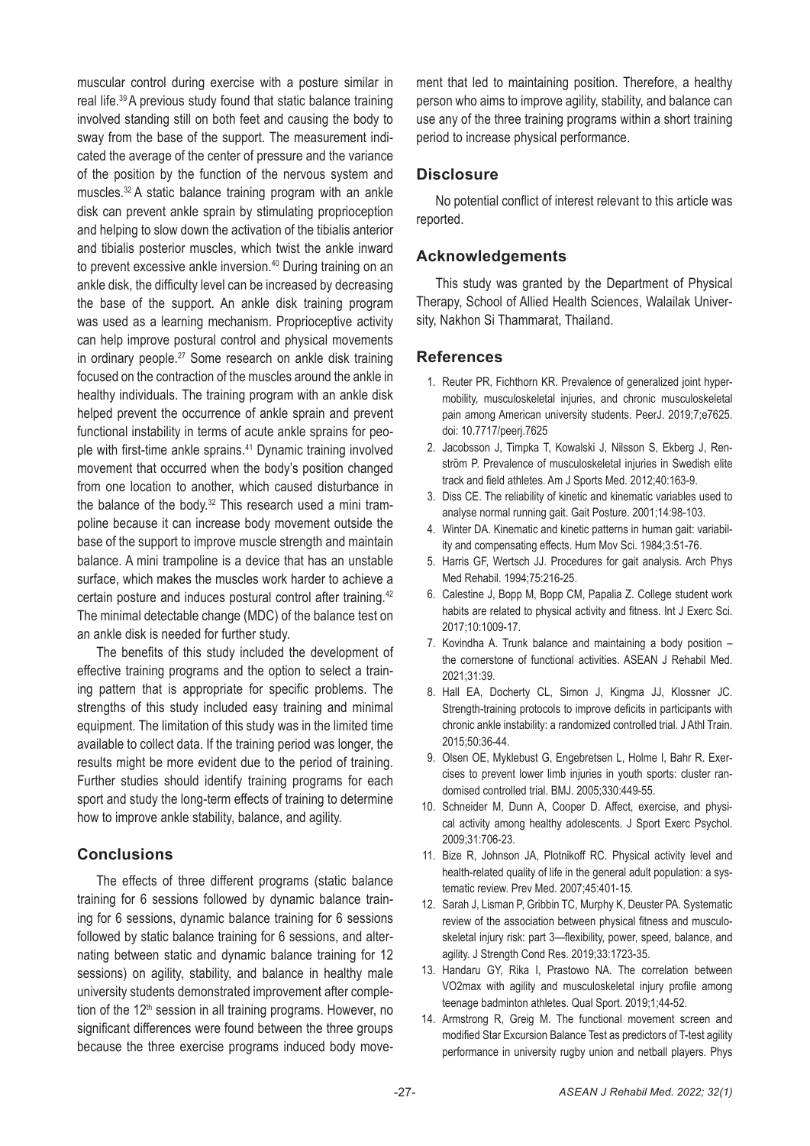muscular control during exercise with a posture similar in real life.39 A previous study found that static balance training involved standing still on both feet and causing the body to sway from the base of the support. The measurement indicated the average of the center of pressure and the variance of the position by the function of the nervous system and muscles.32 A static balance training program with an ankle disk can prevent ankle sprain by stimulating proprioception and helping to slow down the activation of the tibialis anterior and tibialis posterior muscles, which twist the ankle inward to prevent excessive ankle inversion.<sup>40</sup> During training on an ankle disk, the difficulty level can be increased by decreasing the base of the support. An ankle disk training program was used as a learning mechanism. Proprioceptive activity can help improve postural control and physical movements in ordinary people.27 Some research on ankle disk training focused on the contraction of the muscles around the ankle in healthy individuals. The training program with an ankle disk helped prevent the occurrence of ankle sprain and prevent functional instability in terms of acute ankle sprains for people with first-time ankle sprains.41 Dynamic training involved movement that occurred when the body's position changed from one location to another, which caused disturbance in the balance of the body.<sup>32</sup> This research used a mini trampoline because it can increase body movement outside the base of the support to improve muscle strength and maintain balance. A mini trampoline is a device that has an unstable surface, which makes the muscles work harder to achieve a certain posture and induces postural control after training.42 The minimal detectable change (MDC) of the balance test on an ankle disk is needed for further study.

The benefits of this study included the development of effective training programs and the option to select a training pattern that is appropriate for specific problems. The strengths of this study included easy training and minimal equipment. The limitation of this study was in the limited time available to collect data. If the training period was longer, the results might be more evident due to the period of training. Further studies should identify training programs for each sport and study the long-term effects of training to determine how to improve ankle stability, balance, and agility.

# **Conclusions**

The effects of three different programs (static balance training for 6 sessions followed by dynamic balance training for 6 sessions, dynamic balance training for 6 sessions followed by static balance training for 6 sessions, and alternating between static and dynamic balance training for 12 sessions) on agility, stability, and balance in healthy male university students demonstrated improvement after completion of the 12<sup>th</sup> session in all training programs. However, no significant differences were found between the three groups because the three exercise programs induced body movement that led to maintaining position. Therefore, a healthy person who aims to improve agility, stability, and balance can use any of the three training programs within a short training period to increase physical performance.

# **Disclosure**

No potential conflict of interest relevant to this article was reported.

# **Acknowledgements**

This study was granted by the Department of Physical Therapy, School of Allied Health Sciences, Walailak University, Nakhon Si Thammarat, Thailand.

# **References**

- 1. Reuter PR, Fichthorn KR. Prevalence of generalized joint hypermobility, musculoskeletal injuries, and chronic musculoskeletal pain among American university students. PeerJ. 2019;7;e7625. doi: 10.7717/peerj.7625
- 2. Jacobsson J, Timpka T, Kowalski J, Nilsson S, Ekberg J, Renström P. Prevalence of musculoskeletal injuries in Swedish elite track and field athletes. Am J Sports Med. 2012;40:163-9.
- 3. Diss CE. The reliability of kinetic and kinematic variables used to analyse normal running gait. Gait Posture. 2001;14:98-103.
- 4. Winter DA. Kinematic and kinetic patterns in human gait: variability and compensating effects. Hum Mov Sci. 1984;3:51-76.
- 5. Harris GF, Wertsch JJ. Procedures for gait analysis. Arch Phys Med Rehabil. 1994;75:216-25.
- 6. Calestine J, Bopp M, Bopp CM, Papalia Z. College student work habits are related to physical activity and fitness. Int J Exerc Sci. 2017;10:1009-17.
- 7. Kovindha A. Trunk balance and maintaining a body position the cornerstone of functional activities. ASEAN J Rehabil Med. 2021;31:39.
- 8. Hall EA, Docherty CL, Simon J, Kingma JJ, Klossner JC. Strength-training protocols to improve deficits in participants with chronic ankle instability: a randomized controlled trial. J Athl Train. 2015;50:36-44.
- 9. Olsen OE, Myklebust G, Engebretsen L, Holme I, Bahr R. Exercises to prevent lower limb injuries in youth sports: cluster randomised controlled trial. BMJ. 2005;330:449-55.
- 10. Schneider M, Dunn A, Cooper D. Affect, exercise, and physical activity among healthy adolescents. J Sport Exerc Psychol. 2009;31:706-23.
- 11. Bize R, Johnson JA, Plotnikoff RC. Physical activity level and health-related quality of life in the general adult population: a systematic review. Prev Med. 2007;45:401-15.
- 12. Sarah J, Lisman P, Gribbin TC, Murphy K, Deuster PA. Systematic review of the association between physical fitness and musculoskeletal injury risk: part 3—flexibility, power, speed, balance, and agility. J Strength Cond Res. 2019;33:1723-35.
- 13. Handaru GY, Rika I, Prastowo NA. The correlation between VO2max with agility and musculoskeletal injury profile among teenage badminton athletes. Qual Sport. 2019;1;44-52.
- 14. Armstrong R, Greig M. The functional movement screen and modified Star Excursion Balance Test as predictors of T-test agility performance in university rugby union and netball players. Phys